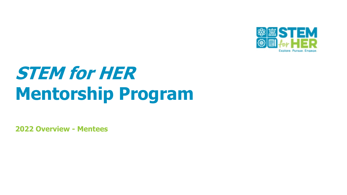

# **STEM for HER Mentorship Program**

**2022 Overview - Mentees**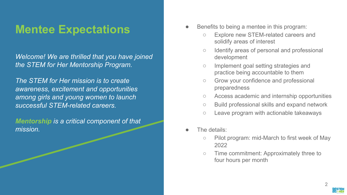### **Mentee Expectations**

*Welcome! We are thrilled that you have joined the STEM for Her Mentorship Program.*

*The STEM for Her mission is to create awareness, excitement and opportunities among girls and young women to launch successful STEM-related careers.* 

*Mentorship is a critical component of that mission.* 

- Benefits to being a mentee in this program:
	- Explore new STEM-related careers and solidify areas of interest
	- Identify areas of personal and professional development
	- Implement goal setting strategies and practice being accountable to them
	- Grow your confidence and professional preparedness
	- Access academic and internship opportunities
	- Build professional skills and expand network
	- Leave program with actionable takeaways
- The details:
	- Pilot program: mid-March to first week of May 2022
	- Time commitment: Approximately three to four hours per month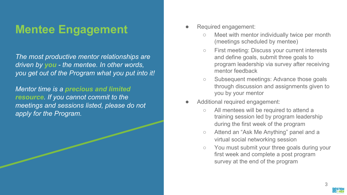### **Mentee Engagement**

*The most productive mentor relationships are driven by you - the mentee. In other words, you get out of the Program what you put into it!* 

*Mentor time is a precious and limited resource. If you cannot commit to the meetings and sessions listed, please do not apply for the Program.*

- Required engagement:
	- Meet with mentor individually twice per month (meetings scheduled by mentee)
	- First meeting: Discuss your current interests and define goals, submit three goals to program leadership via survey after receiving mentor feedback
	- Subsequent meetings: Advance those goals through discussion and assignments given to you by your mentor
- Additional required engagement:
	- All mentees will be required to attend a training session led by program leadership during the first week of the program
	- Attend an "Ask Me Anything" panel and a virtual social networking session
	- You must submit your three goals during your first week and complete a post program survey at the end of the program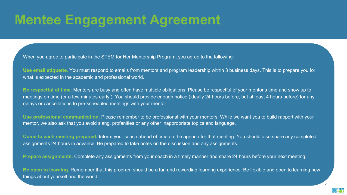### **Mentee Engagement Agreement**

When you agree to participate in the STEM for Her Mentorship Program, you agree to the following:

**Use email etiquette**. You must respond to emails from mentors and program leadership within 3 business days. This is to prepare you for what is expected in the academic and professional world.

**Be respectful of time**. Mentors are busy and often have multiple obligations. Please be respectful of your mentor's time and show up to meetings on time (or a few minutes early!). You should provide enough notice (ideally 24 hours before, but at least 4 hours before) for any delays or cancellations to pre-scheduled meetings with your mentor.

**Use professional communication**. Please remember to be professional with your mentors. While we want you to build rapport with your mentor, we also ask that you avoid slang, profanities or any other inappropriate topics and language.

**Come to each meeting prepared.** Inform your coach ahead of time on the agenda for that meeting. You should also share any completed assignments 24 hours in advance. Be prepared to take notes on the discussion and any assignments.

**Prepare assignments.** Complete any assignments from your coach in a timely manner and share 24 hours before your next meeting.

**Be open to learning**. Remember that this program should be a fun and rewarding learning experience. Be flexible and open to learning new things about yourself and the world.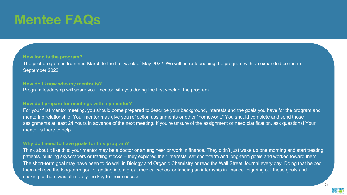# **Mentee FAQs**

#### **How long is the program?**

The pilot program is from mid-March to the first week of May 2022. We will be re-launching the program with an expanded cohort in September 2022.

#### **How do I know who my mentor is?**

Program leadership will share your mentor with you during the first week of the program.

#### **How do I prepare for meetings with my mentor?**

For your first mentor meeting, you should come prepared to describe your background, interests and the goals you have for the program and mentoring relationship. Your mentor may give you reflection assignments or other "homework." You should complete and send those assignments at least 24 hours in advance of the next meeting. If you're unsure of the assignment or need clarification, ask questions! Your mentor is there to help.

#### **Why do I need to have goals for this program?**

Think about it like this: your mentor may be a doctor or an engineer or work in finance. They didn't just wake up one morning and start treating patients, building skyscrapers or trading stocks – they explored their interests, set short-term and long-term goals and worked toward them. The short-term goal may have been to do well in Biology and Organic Chemistry or read the Wall Street Journal every day. Doing that helped them achieve the long-term goal of getting into a great medical school or landing an internship in finance. Figuring out those goals and sticking to them was ultimately the key to their success.